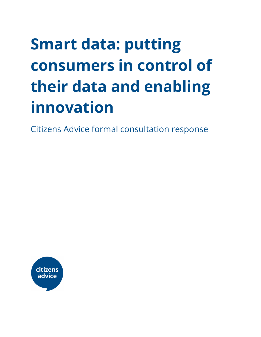# **Smart data: putting consumers in control of their data and enabling innovation**

Citizens Advice formal consultation response

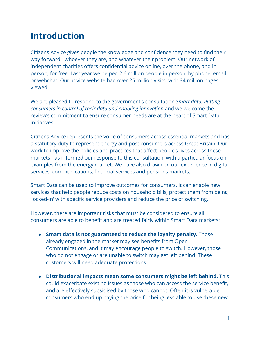### **Introduction**

Citizens Advice gives people the knowledge and confidence they need to find their way forward - whoever they are, and whatever their problem. Our network of independent charities offers confidential advice online, over the phone, and in person, for free. Last year we helped 2.6 million people in person, by phone, email or webchat. Our advice website had over 25 million visits, with 34 million pages viewed.

We are pleased to respond to the government's consultation *Smart data: Putting consumers in control of their data and enabling innovation* and we welcome the review's commitment to ensure consumer needs are at the heart of Smart Data initiatives.

Citizens Advice represents the voice of consumers across essential markets and has a statutory duty to represent energy and post consumers across Great Britain. Our work to improve the policies and practices that affect people's lives across these markets has informed our response to this consultation, with a particular focus on examples from the energy market. We have also drawn on our experience in digital services, communications, financial services and pensions markets.

Smart Data can be used to improve outcomes for consumers. It can enable new services that help people reduce costs on household bills, protect them from being 'locked-in' with specific service providers and reduce the price of switching.

However, there are important risks that must be considered to ensure all consumers are able to benefit and are treated fairly within Smart Data markets:

- **● Smart data is not guaranteed to reduce the loyalty penalty.** Those already engaged in the market may see benefits from Open Communications, and it may encourage people to switch. However, those who do not engage or are unable to switch may get left behind. These customers will need adequate protections.
- **Distributional impacts mean some consumers might be left behind.** This could exacerbate existing issues as those who can access the service benefit, and are effectively subsidised by those who cannot. Often it is vulnerable consumers who end up paying the price for being less able to use these new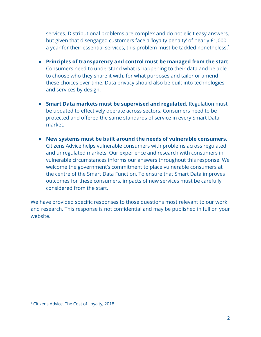services. Distributional problems are complex and do not elicit easy answers, but given that disengaged customers face a 'loyalty penalty' of nearly £1,000 a year for their essential services, this problem must be tackled nonetheless.<sup>1</sup>

- **Principles of transparency and control must be managed from the start.** Consumers need to understand what is happening to their data and be able to choose who they share it with, for what purposes and tailor or amend these choices over time. Data privacy should also be built into technologies and services by design.
- **Smart Data markets must be supervised and regulated.** Regulation must be updated to effectively operate across sectors. Consumers need to be protected and offered the same standards of service in every Smart Data market.
- **New systems must be built around the needs of vulnerable consumers.** Citizens Advice helps vulnerable consumers with problems across regulated and unregulated markets. Our experience and research with consumers in vulnerable circumstances informs our answers throughout this response. We welcome the government's commitment to place vulnerable consumers at the centre of the Smart Data Function. To ensure that Smart Data improves outcomes for these consumers, impacts of new services must be carefully considered from the start.

We have provided specific responses to those questions most relevant to our work and research. This response is not confidential and may be published in full on your website.

<sup>&</sup>lt;sup>1</sup> Citizens Advice, The Cost of [Loyalty](https://www.citizensadvice.org.uk/Global/CitizensAdvice/Consumer%20publications/Citizens%20Advice%20-%20The%20cost%20of%20loyalty.pdf), 2018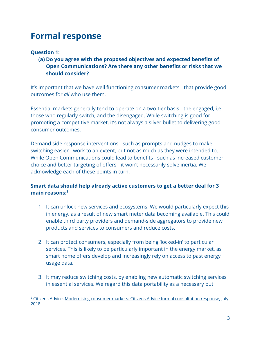### **Formal response**

#### **Question 1:**

**(a) Do you agree with the proposed objectives and expected benefits of Open Communications? Are there any other benefits or risks that we should consider?**

It's important that we have well functioning consumer markets - that provide good outcomes for *all* who use them.

Essential markets generally tend to operate on a two-tier basis - the engaged, i.e. those who regularly switch, and the disengaged. While switching is good for promoting a competitive market, it's not always a silver bullet to delivering good consumer outcomes.

Demand side response interventions - such as prompts and nudges to make switching easier - work to an extent, but not as much as they were intended to. While Open Communications could lead to benefits - such as increased customer choice and better targeting of offers - it won't necessarily solve inertia. We acknowledge each of these points in turn.

#### **Smart data should help already active customers to get a better deal for 3 main reasons:<sup>2</sup>**

- 1. It can unlock new services and ecosystems. We would particularly expect this in energy, as a result of new smart meter data becoming available. This could enable third party providers and demand-side aggregators to provide new products and services to consumers and reduce costs.
- 2. It can protect consumers, especially from being 'locked-in' to particular services. This is likely to be particularly important in the energy market, as smart home offers develop and increasingly rely on access to past energy usage data.
- 3. It may reduce switching costs, by enabling new automatic switching services in essential services. We regard this data portability as a necessary but

<sup>&</sup>lt;sup>2</sup> Citizens Advice, [Modernising](https://www.citizensadvice.org.uk/wales/about-us/policy/policy-research-topics/consumer-policy-research/consumer-surveys-consultation-responses/modernising-consumer-markets-citizens-advice-formal-consultation-response/) consumer markets: Citizens Advice formal consultation response, July 2018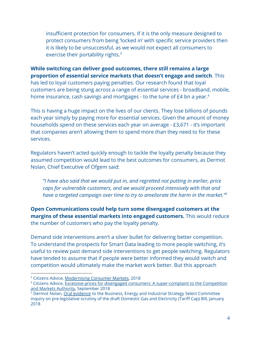insufficient protection for consumers. If it is the only measure designed to protect consumers from being 'locked in' with specific service providers then it is likely to be unsuccessful, as we would not expect all consumers to exercise their portability rights.<sup>3</sup>

**While switching can deliver good outcomes, there still remains a large proportion of essential service markets that doesn't engage and switch**. This has led to loyal customers paying penalties. Our research found that loyal customers are being stung across a range of essential services - broadband, mobile, home insurance, cash savings and mortgages - to the tune of £4 bn a year.<sup>4</sup>

This is having a huge impact on the lives of our clients. They lose billions of pounds each year simply by paying more for essential services. Given the amount of money households spend on these services each year on average - £3,671 - it's important that companies aren't allowing them to spend more than they need to for these services.

Regulators haven't acted quickly enough to tackle the loyalty penalty because they assumed competition would lead to the best outcomes for consumers, as Dermot Nolan, Chief Executive of Ofgem said:

*"I have also said that we would put in, and regretted not putting in earlier, price caps for vulnerable customers, and we would proceed intensively with that and have a targeted campaign over time to try to ameliorate the harm in the market."<sup>5</sup>*

**Open Communications could help turn some disengaged customers at the margins of these essential markets into engaged customers.** This would reduce the number of customers who pay the loyalty penalty.

Demand side interventions aren't a silver bullet for delivering better competition. To understand the prospects for Smart Data leading to more people switching, it's useful to review past demand side interventions to get people switching. Regulators have tended to assume that if people were better informed they would switch and competition would ultimately make the market work better. But this approach

<sup>&</sup>lt;sup>3</sup> Citizens Advice, [Modernising](https://www.citizensadvice.org.uk/Global/CitizensAdvice/Consumer%20publications/Modernising%20consumer%20markets_%20a%20response%20from%20Citizens%20Advice.pdf) Consumer Markets, 2018

<sup>4</sup> Citizens Advice, Excessive prices for disengaged consumers: A [super-complaint](https://www.citizensadvice.org.uk/about-us/policy/policy-research-topics/consumer-policy-research/consumer-policy-research/excessive-prices-for-disengaged-consumers-a-super-complaint-to-the-competition-and-markets-authority/) to the Competition and Markets [Authority](https://www.citizensadvice.org.uk/about-us/policy/policy-research-topics/consumer-policy-research/consumer-policy-research/excessive-prices-for-disengaged-consumers-a-super-complaint-to-the-competition-and-markets-authority/), September 2018

<sup>&</sup>lt;sup>5</sup> Dermot Nolan, Oral [evidence](http://data.parliament.uk/writtenevidence/committeeevidence.svc/evidencedocument/business-energy-and-industrial-strategy-committee/prelegislative-scrutiny-of-the-draft-domestic-gas-and-electricity-tariff-cap-bill/oral/76719.pdf) to the Business, Energy and Industrial Strategy Select Committee inquiry on pre-legislative scrutiny of the draft Domestic Gas and Electricity (Tariff Cap) Bill, January 2018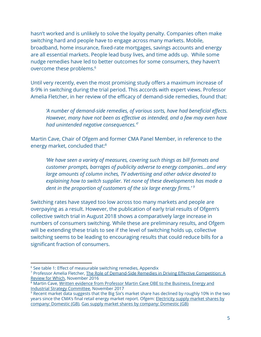hasn't worked and is unlikely to solve the loyalty penalty. Companies often make switching hard and people have to engage across many markets. Mobile, broadband, home insurance, fixed-rate mortgages, savings accounts and energy are all essential markets. People lead busy lives, and time adds up. While some nudge remedies have led to better outcomes for some consumers, they haven't overcome these problems.<sup>6</sup>

Until very recently, even the most promising study offers a maximum increase of 8-9% in switching during the trial period. This accords with expert views. Professor Amelia Fletcher, in her review of the efficacy of demand-side remedies, found that:

*'A number of demand-side remedies, of various sorts, have had beneficial effects. However, many have not been as effective as intended, and a few may even have had unintended negative consequences.'<sup>7</sup>*

Martin Cave, Chair of Ofgem and former CMA Panel Member, in reference to the energy market, concluded that:<sup>8</sup>

*'We have seen a variety of measures, covering such things as bill formats and customer prompts, barrages of publicity adverse to energy companies...and very large amounts of column inches, TV advertising and other advice devoted to explaining how to switch supplier. Yet none of these developments has made a dent in the proportion of customers of the six large energy firms.' <sup>9</sup>*

Switching rates have stayed too low across too many markets and people are overpaying as a result. However, the publication of early trial results of Ofgem's collective switch trial in August 2018 shows a comparatively large increase in numbers of consumers switching. While these are preliminary results, and Ofgem will be extending these trials to see if the level of switching holds up, collective switching seems to be leading to encouraging results that could reduce bills for a significant fraction of consumers.

<sup>&</sup>lt;sup>6</sup> See table 1: Effect of measurable switching remedies, Appendix

<sup>7</sup> Professor Amelia Fletcher, The Role of [Demand-Side](https://www.staticwhich.co.uk/documents/pdf/the-role-of-demand-side-remedies-in-driving-effective-competition-456067.pdf) Remedies in Driving Effective Competition: A [Review](https://www.staticwhich.co.uk/documents/pdf/the-role-of-demand-side-remedies-in-driving-effective-competition-456067.pdf) for Which, November 2016

<sup>&</sup>lt;sup>8</sup> Martin Cave, Written evidence from [Professor](http://data.parliament.uk/writtenevidence/committeeevidence.svc/evidencedocument/business-energy-and-industrial-strategy-committee/prelegislative-scrutiny-of-the-draft-domestic-gas-and-electricity-tariff-cap-bill/written/74880.pdf) Martin Cave OBE to the Business, Energy and Industrial Strategy [Committee,](http://data.parliament.uk/writtenevidence/committeeevidence.svc/evidencedocument/business-energy-and-industrial-strategy-committee/prelegislative-scrutiny-of-the-draft-domestic-gas-and-electricity-tariff-cap-bill/written/74880.pdf) November 2017

<sup>9</sup> Recent market data suggests that the Big Six's market share has declined by roughly 10% in the two years since the CMA's final retail energy market report. Ofgem: [Electricity](https://www.ofgem.gov.uk/data-portal/electricity-supply-market-shares-company-domestic-gb) supply market shares by [company:](https://www.ofgem.gov.uk/data-portal/electricity-supply-market-shares-company-domestic-gb) Domestic (GB), Gas supply market shares by [company:](https://www.ofgem.gov.uk/data-portal/gas-supply-market-shares-company-domestic-gb) Domestic (GB)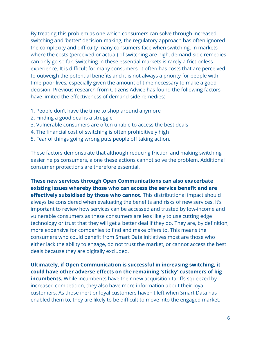By treating this problem as one which consumers can solve through increased switching and 'better' decision-making, the regulatory approach has often ignored the complexity and difficulty many consumers face when switching. In markets where the costs (perceived or actual) of switching are high, demand-side remedies can only go so far. Switching in these essential markets is rarely a frictionless experience. It is difficult for many consumers, it often has costs that are perceived to outweigh the potential benefits and it is not always a priority for people with time-poor lives, especially given the amount of time necessary to make a good decision. Previous research from Citizens Advice has found the following factors have limited the effectiveness of demand-side remedies:

- 1. People don't have the time to shop around anymore
- 2. Finding a good deal is a struggle
- 3. Vulnerable consumers are often unable to access the best deals
- 4. The financial cost of switching is often prohibitively high
- 5. Fear of things going wrong puts people off taking action.

These factors demonstrate that although reducing friction and making switching easier helps consumers, alone these actions cannot solve the problem. Additional consumer protections are therefore essential.

**These new services through Open Communications can also exacerbate existing issues whereby those who can access the service benefit and are effectively subsidised by those who cannot.** This distributional impact should always be considered when evaluating the benefits and risks of new services. It's important to review how services can be accessed and trusted by low-income and vulnerable consumers as these consumers are less likely to use cutting edge technology or trust that they will get a better deal if they do. They are, by definition, more expensive for companies to find and make offers to. This means the consumers who could benefit from Smart Data initiatives most are those who either lack the ability to engage, do not trust the market, or cannot access the best deals because they are digitally excluded.

**Ultimately, if Open Communication is successful in increasing switching, it could have other adverse effects on the remaining 'sticky' customers of big incumbents.** While incumbents have their new acquisition tariffs squeezed by increased competition, they also have more information about their loyal customers. As those inert or loyal customers haven't left when Smart Data has enabled them to, they are likely to be difficult to move into the engaged market.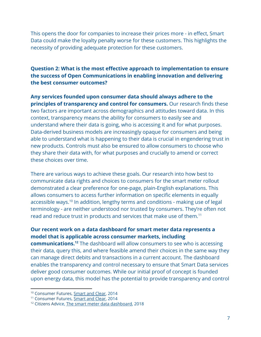This opens the door for companies to increase their prices more - in effect, Smart Data could make the loyalty penalty worse for these customers. This highlights the necessity of providing adequate protection for these customers.

#### **Question 2: What is the most effective approach to implementation to ensure the success of Open Communications in enabling innovation and delivering the best consumer outcomes?**

**Any services founded upon consumer data should always adhere to the principles of transparency and control for consumers.** Our research finds these two factors are important across demographics and attitudes toward data. In this context, transparency means the ability for consumers to easily see and understand where their data is going, who is accessing it and for what purposes. Data-derived business models are increasingly opaque for consumers and being able to understand what is happening to their data is crucial in engendering trust in new products. Controls must also be ensured to allow consumers to choose who they share their data with, for what purposes and crucially to amend or correct these choices over time.

There are various ways to achieve these goals. Our research into how best to communicate data rights and choices to consumers for the smart meter rollout demonstrated a clear preference for one-page, plain-English explanations. This allows consumers to access further information on specific elements in equally accessible ways.<sup>10</sup> In addition, lengthy terms and conditions - making use of legal terminology - are neither understood nor trusted by consumers. They're often not read and reduce trust in products and services that make use of them.<sup>11</sup>

#### **Our recent work on a data dashboard for smart meter data represents a model that is applicable across consumer markets, including**

**communications.**<sup>12</sup> The dashboard will allow consumers to see who is accessing their data, query this, and where feasible amend their choices in the same way they can manage direct debits and transactions in a current account. The dashboard enables the transparency and control necessary to ensure that Smart Data services deliver good consumer outcomes. While our initial proof of concept is founded upon energy data, this model has the potential to provide transparency and control

<sup>&</sup>lt;sup>10</sup> Consumer Futures, **[Smart](https://webarchive.nationalarchives.gov.uk/20140522163010/http://www.consumerfutures.org.uk/reports/smart-and-clear-customer-attitudes-to-communicating-rights-and-choices-on-energy-data-privacy-and-access) and Clear**, 2014

<sup>&</sup>lt;sup>11</sup> Consumer Futures, [Smart](https://webarchive.nationalarchives.gov.uk/20140522163010/http://www.consumerfutures.org.uk/reports/smart-and-clear-customer-attitudes-to-communicating-rights-and-choices-on-energy-data-privacy-and-access) and Clear, 2014

<sup>&</sup>lt;sup>12</sup> Citizens Advice, The smart meter data [dashboard,](https://www.citizensadvice.org.uk/about-us/policy/policy-research-topics/energy-policy-research-and-consultation-responses/energy-policy-research/the-smart-meter-data-dashboard/) 2018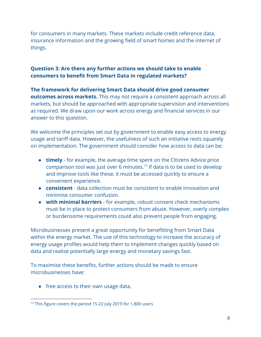for consumers in many markets. These markets include credit reference data, insurance information and the growing field of smart homes and the internet of things.

#### **Question 3: Are there any further actions we should take to enable consumers to benefit from Smart Data in regulated markets?**

#### **The framework for delivering Smart Data should drive good consumer outcomes across markets.** This may not require a consistent approach across all markets, but should be approached with appropriate supervision and interventions as required. We draw upon our work across energy and financial services in our answer to this question.

We welcome the principles set out by government to enable easy access to energy usage and tariff data. However, the usefulness of such an initiative rests squarely on implementation. The government should consider how access to data can be:

- **timely**  for example, the average time spent on the Citizens Advice price comparison tool was just over 6 minutes.<sup>13</sup> If data is to be used to develop and improve tools like these, it must be accessed quickly to ensure a convenient experience.
- **consistent** data collection must be consistent to enable innovation and minimise consumer confusion.
- **with minimal barriers** for example, robust consent check mechanisms must be in place to protect consumers from abuse. However, overly complex or burdensome requirements could also prevent people from engaging.

Microbusinesses present a great opportunity for benefitting from Smart Data within the energy market. The use of this technology to increase the accuracy of energy usage profiles would help them to implement changes quickly based on data and realise potentially large energy and monetary savings fast.

To maximise these benefits, further actions should be made to ensure microbusinesses have:

● free access to their own usage data,

<sup>&</sup>lt;sup>13</sup> This figure covers the period 15-22 July 2019 for 1,800 users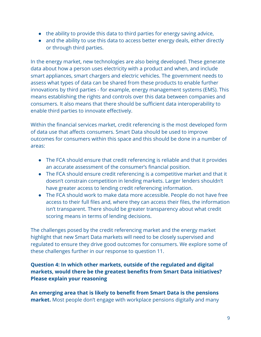- the ability to provide this data to third parties for energy saving advice,
- and the ability to use this data to access better energy deals, either directly or through third parties.

In the energy market, new technologies are also being developed. These generate data about how a person uses electricity with a product and when, and include smart appliances, smart chargers and electric vehicles. The government needs to assess what types of data can be shared from these products to enable further innovations by third parties - for example, energy management systems (EMS). This means establishing the rights and controls over this data between companies and consumers. It also means that there should be sufficient data interoperability to enable third parties to innovate effectively.

Within the financial services market, credit referencing is the most developed form of data use that affects consumers. Smart Data should be used to improve outcomes for consumers within this space and this should be done in a number of areas:

- The FCA should ensure that credit referencing is reliable and that it provides an accurate assessment of the consumer's financial position.
- The FCA should ensure credit referencing is a competitive market and that it doesn't constrain competition in lending markets. Larger lenders shouldn't have greater access to lending credit referencing information.
- The FCA should work to make data more accessible. People do not have free access to their full files and, where they can access their files, the information isn't transparent. There should be greater transparency about what credit scoring means in terms of lending decisions.

The challenges posed by the credit referencing market and the energy market highlight that new Smart Data markets will need to be closely supervised and regulated to ensure they drive good outcomes for consumers. We explore some of these challenges further in our response to question 11.

#### **Question 4: In which other markets, outside of the regulated and digital markets, would there be the greatest benefits from Smart Data initiatives? Please explain your reasoning**

**An emerging area that is likely to benefit from Smart Data is the pensions market.** Most people don't engage with workplace pensions digitally and many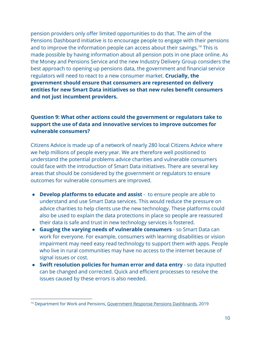pension providers only offer limited opportunities to do that. The aim of the Pensions Dashboard initiative is to encourage people to engage with their pensions and to improve the information people can access about their savings.<sup>14</sup> This is made possible by having information about all pension pots in one place online. As the Money and Pensions Service and the new Industry Delivery Group considers the best approach to opening up pensions data, the government and financial service regulators will need to react to a new consumer market. **Crucially, the government should ensure that consumers are represented on delivery entities for new Smart Data initiatives so that new rules benefit consumers and not just incumbent providers.**

#### **Question 9: What other actions could the government or regulators take to support the use of data and innovative services to improve outcomes for vulnerable consumers?**

Citizens Advice is made up of a network of nearly 280 local Citizens Advice where we help millions of people every year. We are therefore well positioned to understand the potential problems advice charities and vulnerable consumers could face with the introduction of Smart Data initiatives. There are several key areas that should be considered by the government or regulators to ensure outcomes for vulnerable consumers are improved.

- **Develop platforms to educate and assist**  to ensure people are able to understand and use Smart Data services. This would reduce the pressure on advice charities to help clients use the new technology. These platforms could also be used to explain the data protections in place so people are reassured their data is safe and trust in new technology services is fostered.
- **Gauging the varying needs of vulnerable consumers** so Smart Data can work for everyone. For example, consumers with learning disabilities or vision impairment may need easy read technology to support them with apps. People who live in rural communities may have no access to the internet because of signal issues or cost.
- **Swift resolution policies for human error and data entry** so data inputted can be changed and corrected. Quick and efficient processes to resolve the issues caused by these errors is also needed.

<sup>&</sup>lt;sup>14</sup> Department for Work and Pensions, [Government](https://assets.publishing.service.gov.uk/government/uploads/system/uploads/attachment_data/file/792303/government-response-pensions-dashboards.pdf) Response Pensions Dashboards, 2019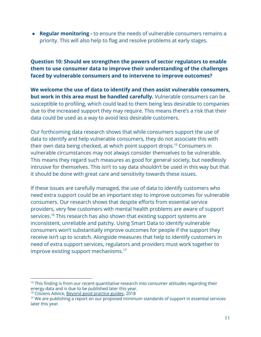● **Regular monitoring -** to ensure the needs of vulnerable consumers remains a priority. This will also help to flag and resolve problems at early stages.

**Question 10: Should we strengthen the powers of sector regulators to enable them to use consumer data to improve their understanding of the challenges faced by vulnerable consumers and to intervene to improve outcomes?**

**We welcome the use of data to identify and then assist vulnerable consumers, but work in this area must be handled carefully.** Vulnerable consumers can be susceptible to profiling, which could lead to them being less desirable to companies due to the increased support they may require. This means there's a risk that their data could be used as a way to avoid less desirable customers.

Our forthcoming data research shows that while consumers support the use of data to identify and help vulnerable consumers, they do not associate this with their own data being checked, at which point support drops.<sup>15</sup> Consumers in vulnerable circumstances may not always consider themselves to be vulnerable. This means they regard such measures as good for general society, but needlessly intrusive for themselves. This isn't to say data shouldn't be used in this way but that it should be done with great care and sensitivity towards these issues.

If these issues are carefully managed, the use of data to identify customers who need extra support could be an important step to improve outcomes for vulnerable consumers. Our research shows that despite efforts from essential service providers, very few customers with mental health problems are aware of support services.<sup>16</sup> This research has also shown that existing support systems are inconsistent, unreliable and patchy. Using Smart Data to identify vulnerable consumers won't substantially improve outcomes for people if the support they receive isn't up to scratch. Alongside measures that help to identify customers in need of extra support services, regulators and providers must work together to improve existing support mechanisms.<sup>17</sup>

<sup>&</sup>lt;sup>15</sup> This finding is from our recent quantitative research into consumer attitudes regarding their energy data and is due to be published later this year.

<sup>&</sup>lt;sup>16</sup> Citizens Advice, Beyond good [practice](https://www.citizensadvice.org.uk/Global/CitizensAdvice/Consumer%20publications/Beyond%20good%20practice%20guides.pdf) guides, 2018

<sup>&</sup>lt;sup>17</sup> We are publishing a report on our proposed minimum standards of support in essential services later this year.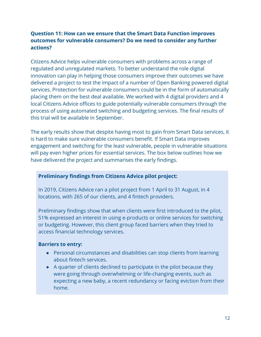#### **Question 11: How can we ensure that the Smart Data Function improves outcomes for vulnerable consumers? Do we need to consider any further actions?**

Citizens Advice helps vulnerable consumers with problems across a range of regulated and unregulated markets. To better understand the role digital innovation can play in helping those consumers improve their outcomes we have delivered a project to test the impact of a number of Open Banking powered digital services. Protection for vulnerable consumers could be in the form of automatically placing them on the best deal available. We worked with 4 digital providers and 4 local Citizens Advice offices to guide potentially vulnerable consumers through the process of using automated switching and budgeting services. The final results of this trial will be available in September.

The early results show that despite having most to gain from Smart Data services, it is hard to make sure vulnerable consumers benefit. If Smart Data improves engagement and switching for the least vulnerable, people in vulnerable situations will pay even higher prices for essential services. The box below outlines how we have delivered the project and summarises the early findings.

#### **Preliminary findings from Citizens Advice pilot project:**

In 2019, Citizens Advice ran a pilot project from 1 April to 31 August, in 4 locations, with 265 of our clients, and 4 fintech providers.

Preliminary findings show that when clients were first introduced to the pilot, 51% expressed an interest in using e-products or online services for switching or budgeting. However, this client group faced barriers when they tried to access financial technology services.

#### **Barriers to entry:**

- Personal circumstances and disabilities can stop clients from learning about fintech services.
- A quarter of clients declined to participate in the pilot because they were going through overwhelming or life-changing events, such as expecting a new baby, a recent redundancy or facing eviction from their home.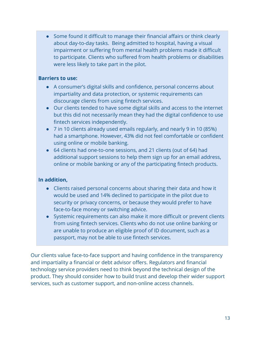● Some found it difficult to manage their financial affairs or think clearly about day-to-day tasks. Being admitted to hospital, having a visual impairment or suffering from mental health problems made it difficult to participate. Clients who suffered from health problems or disabilities were less likely to take part in the pilot.

#### **Barriers to use:**

- A consumer's digital skills and confidence, personal concerns about impartiality and data protection, or systemic requirements can discourage clients from using fintech services.
- Our clients tended to have some digital skills and access to the internet but this did not necessarily mean they had the digital confidence to use fintech services independently.
- 7 in 10 clients already used emails regularly, and nearly 9 in 10 (85%) had a smartphone. However, 43% did not feel comfortable or confident using online or mobile banking.
- 64 clients had one-to-one sessions, and 21 clients (out of 64) had additional support sessions to help them sign up for an email address, online or mobile banking or any of the participating fintech products.

#### **In addition,**

- Clients raised personal concerns about sharing their data and how it would be used and 14% declined to participate in the pilot due to security or privacy concerns, or because they would prefer to have face-to-face money or switching advice.
- Systemic requirements can also make it more difficult or prevent clients from using fintech services. Clients who do not use online banking or are unable to produce an eligible proof of ID document, such as a passport, may not be able to use fintech services.

Our clients value face-to-face support and having confidence in the transparency and impartiality a financial or debt advisor offers. Regulators and financial technology service providers need to think beyond the technical design of the product. They should consider how to build trust and develop their wider support services, such as customer support, and non-online access channels.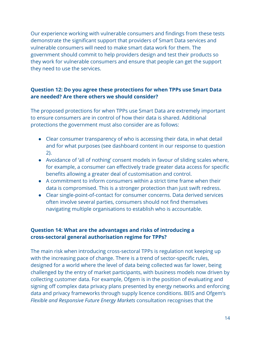Our experience working with vulnerable consumers and findings from these tests demonstrate the significant support that providers of Smart Data services and vulnerable consumers will need to make smart data work for them. The government should commit to help providers design and test their products so they work for vulnerable consumers and ensure that people can get the support they need to use the services.

#### **Question 12: Do you agree these protections for when TPPs use Smart Data are needed? Are there others we should consider?**

The proposed protections for when TPPs use Smart Data are extremely important to ensure consumers are in control of how their data is shared. Additional protections the government must also consider are as follows:

- Clear consumer transparency of who is accessing their data, in what detail and for what purposes (see dashboard content in our response to question 2).
- Avoidance of 'all of nothing' consent models in favour of sliding scales where, for example, a consumer can effectively trade greater data access for specific benefits allowing a greater deal of customisation and control.
- A commitment to inform consumers within a strict time frame when their data is compromised. This is a stronger protection than just swift redress.
- Clear single-point-of-contact for consumer concerns. Data derived services often involve several parties, consumers should not find themselves navigating multiple organisations to establish who is accountable.

#### **Question 14: What are the advantages and risks of introducing a cross-sectoral general authorisation regime for TPPs?**

The main risk when introducing cross-sectoral TPPs is regulation not keeping up with the increasing pace of change. There is a trend of sector-specific rules, designed for a world where the level of data being collected was far lower, being challenged by the entry of market participants, with business models now driven by collecting customer data. For example, Ofgem is in the position of evaluating and signing off complex data privacy plans presented by energy networks and enforcing data and privacy frameworks through supply licence conditions. BEIS and Ofgem's *Flexible and Responsive Future Energy Markets* consultation recognises that the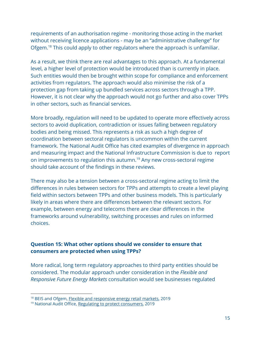requirements of an authorisation regime - monitoring those acting in the market without receiving licence applications - may be an "administrative challenge" for Ofgem.<sup>18</sup> This could apply to other regulators where the approach is unfamiliar.

As a result, we think there are real advantages to this approach. At a fundamental level, a higher level of protection would be introduced than is currently in place. Such entities would then be brought within scope for compliance and enforcement activities from regulators. The approach would also minimise the risk of a protection gap from taking up bundled services across sectors through a TPP. However, it is not clear why the approach would not go further and also cover TPPs in other sectors, such as financial services.

More broadly, regulation will need to be updated to operate more effectively across sectors to avoid duplication, contradiction or issues falling between regulatory bodies and being missed. This represents a risk as such a high degree of coordination between sectoral regulators is uncommon within the current framework. The National Audit Office has cited examples of divergence in approach and measuring impact and the National Infrastructure Commission is due to report on improvements to regulation this autumn.<sup>19</sup> Any new cross-sectoral regime should take account of the findings in these reviews.

There may also be a tension between a cross-sectoral regime acting to limit the differences in rules between sectors for TPPs and attempts to create a level playing field within sectors between TPPs and other business models. This is particularly likely in areas where there are differences between the relevant sectors. For example, between energy and telecoms there are clear differences in the frameworks around vulnerability, switching processes and rules on informed choices.

#### **Question 15: What other options should we consider to ensure that consumers are protected when using TPPs?**

More radical, long term regulatory approaches to third party entities should be considered. The modular approach under consideration in the *Flexible and Responsive Future Energy Markets* consultation would see businesses regulated

<sup>&</sup>lt;sup>18</sup> BEIS and Ofgem, **Flexible and [responsive](https://www.gov.uk/government/consultations/flexible-and-responsive-energy-retail-markets) energy retail markets**, 2019

<sup>19</sup> National Audit Office, Regulating to protect [consumers,](https://www.nao.org.uk/report/regulating-to-protect-consumers-utilities-communications-and-financial-services-markets/) 2019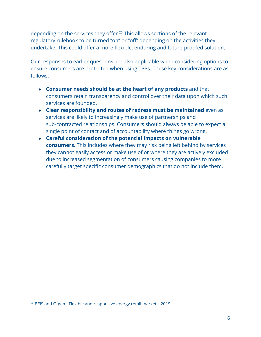depending on the services they offer.<sup>20</sup> This allows sections of the relevant regulatory rulebook to be turned "on" or "off" depending on the activities they undertake. This could offer a more flexible, enduring and future-proofed solution.

Our responses to earlier questions are also applicable when considering options to ensure consumers are protected when using TPPs. These key considerations are as follows:

- **Consumer needs should be at the heart of any products** and that consumers retain transparency and control over their data upon which such services are founded.
- **Clear responsibility and routes of redress must be maintained** even as services are likely to increasingly make use of partnerships and sub-contracted relationships. Consumers should always be able to expect a single point of contact and of accountability where things go wrong.
- **Careful consideration of the potential impacts on vulnerable consumers.** This includes where they may risk being left behind by services they cannot easily access or make use of or where they are actively excluded due to increased segmentation of consumers causing companies to more carefully target specific consumer demographics that do not include them.

<sup>&</sup>lt;sup>20</sup> BEIS and Ofgem, Flexible and [responsive](https://www.gov.uk/government/consultations/flexible-and-responsive-energy-retail-markets) energy retail markets, 2019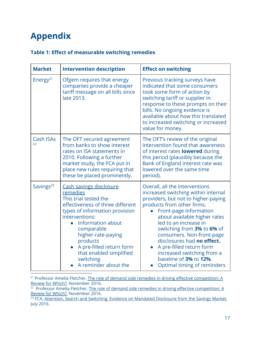### **Appendix**

#### **Table 1: Effect of measurable switching remedies**

| <b>Market</b>          | <b>Intervention description</b>                                                                                                                                                                                                                                                                                                     | <b>Effect on switching</b>                                                                                                                                                                                                                                                                                                                                                                                                                |
|------------------------|-------------------------------------------------------------------------------------------------------------------------------------------------------------------------------------------------------------------------------------------------------------------------------------------------------------------------------------|-------------------------------------------------------------------------------------------------------------------------------------------------------------------------------------------------------------------------------------------------------------------------------------------------------------------------------------------------------------------------------------------------------------------------------------------|
| Energy <sup>21</sup>   | Ofgem requires that energy<br>companies provide a cheaper<br>tariff message on all bills since<br>late 2013.                                                                                                                                                                                                                        | Previous tracking surveys have<br>indicated that some consumers<br>took some form of action by<br>switching tariff or supplier in<br>response to these prompts on their<br>bills. No ongoing evidence is<br>available about how this translated<br>to increased switching or increased<br>value for money.                                                                                                                                |
| <b>Cash ISAs</b><br>22 | The OFT secured agreement<br>from banks to show interest<br>rates on ISA statements in<br>2010. Following a further<br>market study, the FCA put in<br>place new rules requiring that<br>these be placed prominently.                                                                                                               | The OFT's review of the original<br>intervention found that awareness<br>of interest rates <b>lowered</b> during<br>this period (plausibly because the<br>Bank of England interest rate was<br>lowered over the same time<br>period).                                                                                                                                                                                                     |
| Savings <sup>23</sup>  | <b>Cash savings disclosure</b><br>remedies<br>This trial tested the<br>effectiveness of three different<br>types of information provision<br>interventions:<br><b>Information about</b><br>comparable<br>higher-rate-paying<br>products<br>A pre-filled return form<br>that enabled simplified<br>switching<br>A reminder about the | Overall, all the interventions<br>increased switching within internal<br>providers, but not to higher-paying<br>products from other firms.<br>Front-page information<br>about available higher rates<br>led to an increase in<br>switching from 3% to 6% of<br>consumers. Non-front-page<br>disclosures had no effect.<br>A pre-filled return form<br>increased switching from a<br>baseline of 3% to 12%.<br>Optimal timing of reminders |

<sup>21</sup> Professor Amelia Fletcher, The role of demand side remedies in driving effective [competition:](https://www.which.co.uk/policy/consumers/335/the-role-of-demand-side-remedies-in-driving-effective-competition) A Review for [Which?,](https://www.which.co.uk/policy/consumers/335/the-role-of-demand-side-remedies-in-driving-effective-competition) November 2016.

<sup>22</sup> Professor Amelia Fletcher, The role of demand side remedies in driving effective [competition:](https://www.which.co.uk/policy/consumers/335/the-role-of-demand-side-remedies-in-driving-effective-competition) A Review for [Which?,](https://www.which.co.uk/policy/consumers/335/the-role-of-demand-side-remedies-in-driving-effective-competition) November 2016.

<sup>23</sup> FCA, <u>Attention, Search and Switching: Evidence on Mandated [Disclosure](https://www.fca.org.uk/publication/occasional-papers/occasional-paper-19.pdf) from the Savings Market,</u> July 2016.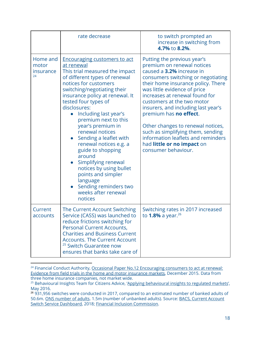|                                      | rate decrease                                                                                                                                                                                                                                                                                                                                                                                                                                                                                                                                                                                   | to switch prompted an<br>increase in switching from<br>4.7% to 8.2%.                                                                                                                                                                                                                                                                                                                                                                                                                                             |
|--------------------------------------|-------------------------------------------------------------------------------------------------------------------------------------------------------------------------------------------------------------------------------------------------------------------------------------------------------------------------------------------------------------------------------------------------------------------------------------------------------------------------------------------------------------------------------------------------------------------------------------------------|------------------------------------------------------------------------------------------------------------------------------------------------------------------------------------------------------------------------------------------------------------------------------------------------------------------------------------------------------------------------------------------------------------------------------------------------------------------------------------------------------------------|
| Home and<br>motor<br>insurance<br>24 | <b>Encouraging customers to act</b><br>at renewal<br>This trial measured the impact<br>of different types of renewal<br>notices for customers<br>switching/negotiating their<br>insurance policy at renewal. It<br>tested four types of<br>disclosures:<br>Including last year's<br>premium next to this<br>year's premium in<br>renewal notices<br>Sending a leaflet with<br>renewal notices e.g. a<br>guide to shopping<br>around<br>Simplifying renewal<br>$\bullet$<br>notices by using bullet<br>points and simpler<br>language<br>Sending reminders two<br>weeks after renewal<br>notices | Putting the previous year's<br>premium on renewal notices<br>caused a 3.2% increase in<br>consumers switching or negotiating<br>their home insurance policy. There<br>was little evidence of price<br>increases at renewal found for<br>customers at the two motor<br>insurers, and including last year's<br>premium has <b>no effect</b> .<br>Other changes to renewal notices,<br>such as simplifying them, sending<br>information leaflets and reminders<br>had little or no impact on<br>consumer behaviour. |
| Current<br>accounts                  | The Current Account Switching<br>Service (CASS) was launched to<br>reduce frictions switching for<br><b>Personal Current Accounts,</b><br><b>Charities and Business Current</b><br><b>Accounts. The Current Account</b><br><sup>25</sup> Switch Guarantee now<br>ensures that banks take care of                                                                                                                                                                                                                                                                                                | Switching rates in 2017 increased<br>to 1.8% a year. $26$                                                                                                                                                                                                                                                                                                                                                                                                                                                        |

<sup>&</sup>lt;sup>24</sup> Financial Conduct Authority, Occasional Paper No.12 [Encouraging](https://www.fca.org.uk/publication/occasional-papers/occasional-paper-12.pdf) consumers to act at renewal: Evidence from field trials in the home and motor [insurance](https://www.fca.org.uk/publication/occasional-papers/occasional-paper-12.pdf) markets, December 2015. Data from three home insurance companies, not market wide.

<sup>&</sup>lt;sup>25</sup> Behavioural Insights Team for Citizens Advice, 'Applying [behavioural](https://www.behaviouralinsights.co.uk/energy-and-sustainability/one-letter-that-triples-energy-switching/) insights to regulated markets', May 2016.

<sup>&</sup>lt;sup>26</sup> 931,956 switches were conducted in 2017, compared to an estimated number of banked adults of 50.6m. ONS [number](https://www.ons.gov.uk/peoplepopulationandcommunity/populationandmigration/populationestimates/datasets/populationestimatesforukenglandandwalesscotlandandnorthernireland) of adults. 1.5m (number of unbanked adults). Source: BACS, Current [Account](https://www.bacs.co.uk/DocumentLibrary/CASS_dashboard_-_published_24_Jan_18.pdf) Switch Service [Dashboard](https://www.bacs.co.uk/DocumentLibrary/CASS_dashboard_-_published_24_Jan_18.pdf), 2018; Financial Inclusion [Commission.](http://www.financialinclusioncommission.org.uk/facts)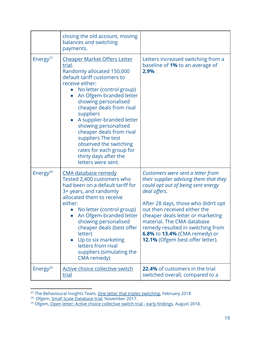|                      | closing the old account, moving<br>balances and switching<br>payments.                                                                                                                                                                                                                                                                                                                                                                                                          |                                                                                                                                                                                                                                                                                                                                                                                       |
|----------------------|---------------------------------------------------------------------------------------------------------------------------------------------------------------------------------------------------------------------------------------------------------------------------------------------------------------------------------------------------------------------------------------------------------------------------------------------------------------------------------|---------------------------------------------------------------------------------------------------------------------------------------------------------------------------------------------------------------------------------------------------------------------------------------------------------------------------------------------------------------------------------------|
| Energy <sup>27</sup> | <u>Cheaper Market Offers Letter</u><br>trial.<br>Randomly allocated 150,000<br>default tariff customers to<br>receive either:<br>No letter (control group)<br>$\bullet$<br>An Ofgem-branded letter<br>showing personalised<br>cheaper deals from rival<br>suppliers<br>A supplier-branded letter<br>showing personalised<br>cheaper deals from rival<br>suppliers The test<br>observed the switching<br>rates for each group for<br>thirty days after the<br>letters were sent. | Letters increased switching from a<br>baseline of 1% to an average of<br>2.9%                                                                                                                                                                                                                                                                                                         |
| Energy <sup>28</sup> | <u>CMA database remedy</u><br>Tested 2,400 customers who<br>had been on a default tariff for<br>3+ years, and randomly<br>allocated them to receive<br>either:<br>No letter (control group)<br>An Ofgem-branded letter<br>showing personalised<br>cheaper deals (best offer<br>letter)<br>Up to six marketing<br>letters from rival<br>suppliers (simulating the<br>CMA remedy)                                                                                                 | Customers were sent a letter from<br>their supplier advising them that they<br>could opt out of being sent energy<br>deal offers.<br>After 28 days, those who didn't opt<br>out then received either the<br>cheaper deals letter or marketing<br>material. The CMA database<br>remedy resulted in switching from<br>6.8% to 13.4% (CMA remedy) or<br>12.1% (Ofgem best offer letter). |
| Energy <sup>29</sup> | Active choice collective switch<br>trial                                                                                                                                                                                                                                                                                                                                                                                                                                        | 22.4% of customers in the trial<br>switched overall, compared to a                                                                                                                                                                                                                                                                                                                    |

<sup>&</sup>lt;sup>27</sup> The Behavioural Insights Team, <u>One letter that triples switchin</u>g, February 2018

<sup>&</sup>lt;sup>28</sup> Ofgem, **Small Scale [Database](https://www.ofgem.gov.uk/system/files/docs/2017/11/small_scale_database_trial_paper_pdf.pdf) trial**, November 2017.

<sup>&</sup>lt;sup>29</sup> Ofgem<u>, Open letter: Active choice [collective](https://www.ofgem.gov.uk/publications-and-updates/open-letter-active-choice-collective-switch-trial-early-findings) switch trial - early findings</u>, August 2018.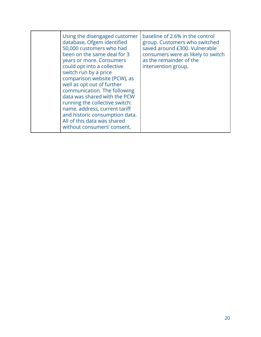| Using the disengaged customer<br>database, Ofgem identified<br>50,000 customers who had<br>been on the same deal for 3<br>years or more. Consumers<br>could opt into a collective<br>switch run by a price<br>comparison website (PCW), as<br>well as opt out of further<br>communication. The following<br>data was shared with the PCW<br>running the collective switch:<br>name, address, current tariff<br>and historic consumption data.<br>All of this data was shared<br>without consumers' consent. | baseline of 2.6% in the control<br>group. Customers who switched<br>saved around £300. Vulnerable<br>consumers were as likely to switch<br>as the remainder of the<br>intervention group. |
|-------------------------------------------------------------------------------------------------------------------------------------------------------------------------------------------------------------------------------------------------------------------------------------------------------------------------------------------------------------------------------------------------------------------------------------------------------------------------------------------------------------|-------------------------------------------------------------------------------------------------------------------------------------------------------------------------------------------|
|-------------------------------------------------------------------------------------------------------------------------------------------------------------------------------------------------------------------------------------------------------------------------------------------------------------------------------------------------------------------------------------------------------------------------------------------------------------------------------------------------------------|-------------------------------------------------------------------------------------------------------------------------------------------------------------------------------------------|